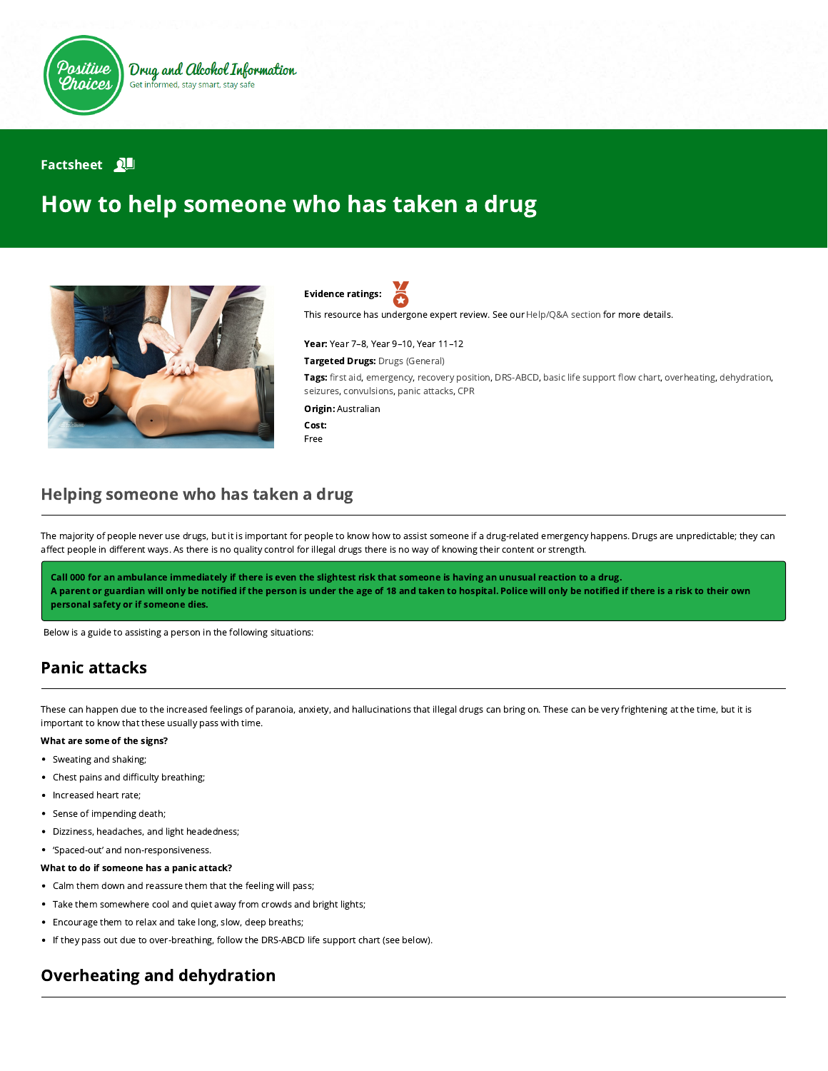

### **Factsheet** 2

# How to help someone who has taken a drug



Evidence ratings:

This resource has undergone expert review. See our [Help/Q&A section](https://positivechoices.org.au/help/questions-and-answers/) for more details.

Year: Year 7–8, Year 9–10, Year 11–12 Targeted Drugs: Drugs (General)

Tags: first aid, emergency, recovery position, DRS-ABCD, basic life support flow chart, overheating, dehydration, seizures, convulsions, panic attacks, CPR

Origin: Australian

Cost: Free

### Helping someone who has taken a drug

The majority of people never use drugs, but it is important for people to know how to assist someone if a drug-related emergency happens. Drugs are unpredictable; they can affect people in different ways. As there is no quality control for illegal drugs there is no way of knowing their content or strength.

Call 000 for an ambulance immediately if there is even the slightest risk that someone is having an unusual reaction to a drug. A parent or guardian will only be notified if the person is under the age of 18 and taken to hospital. Police will only be notified if there is a risk to their own personal safety or if someone dies.

Below is a guide to assisting a person in the following situations:

# Panic attacks

These can happen due to the increased feelings of paranoia, anxiety, and hallucinations that illegal drugs can bring on. These can be very frightening at the time, but it is important to know that these usually pass with time.

### What are some of the signs?

- Sweating and shaking;
- Chest pains and difficulty breathing;
- Increased heart rate;
- Sense of impending death;
- Dizziness, headaches, and light headedness;
- 'Spaced-out' and non-responsiveness.
- What to do if someone has a panic attack?
- Calm them down and reassure them that the feeling will pass;
- Take them somewhere cool and quiet away from crowds and bright lights;
- Encourage them to relax and take long, slow, deep breaths;
- If they pass out due to over-breathing, follow the DRS-ABCD life support chart (see below).

# Overheating and dehydration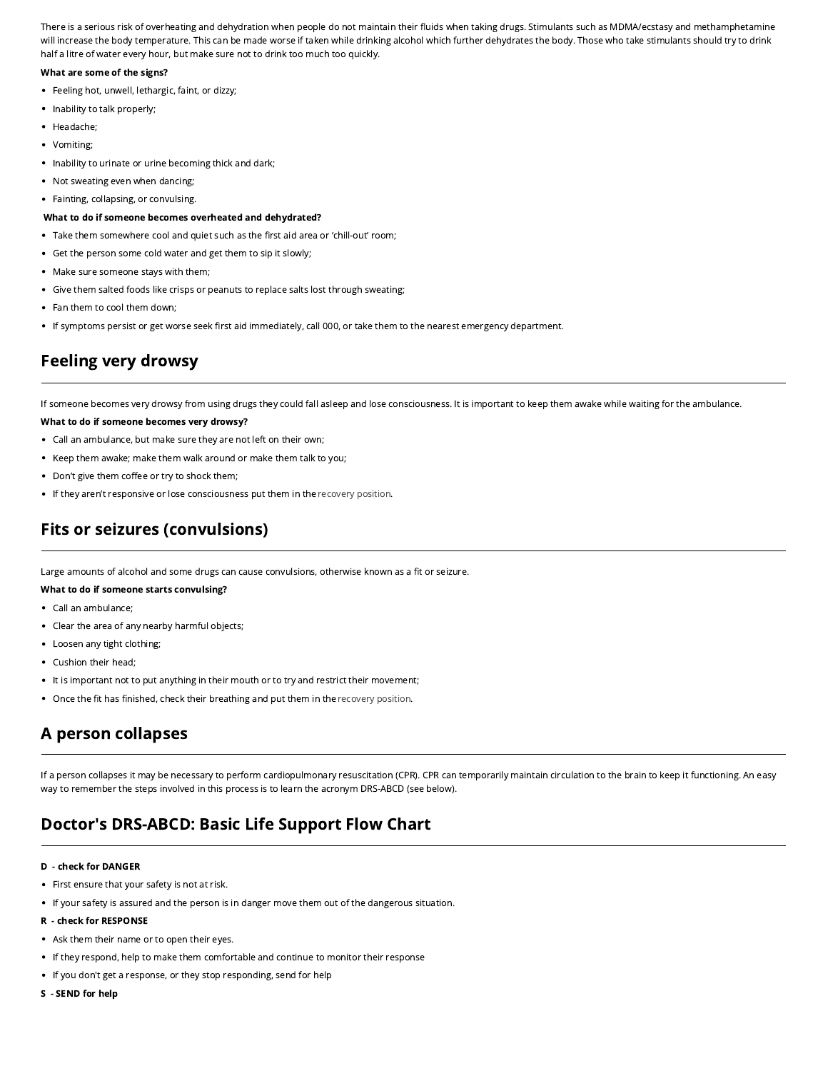There is a serious risk of overheating and dehydration when people do not maintain their fluids when taking drugs. Stimulants such as MDMA/ecstasy and methamphetamine will increase the body temperature. This can be made worse if taken while drinking alcohol which further dehydrates the body. Those who take stimulants should try to drink half a litre of water every hour, but make sure not to drink too much too quickly.

### What are some of the signs?

- Feeling hot, unwell, lethargic, faint, or dizzy;
- Inability to talk properly;
- Headache;
- Vomiting;  $\bullet$
- Inability to urinate or urine becoming thick and dark;
- Not sweating even when dancing;
- Fainting, collapsing, or convulsing.

#### What to do if someone becomes overheated and dehydrated?

- Take them somewhere cool and quiet such as the first aid area or 'chill-out' room;
- Get the person some cold water and get them to sip it slowly;
- Make sure someone stays with them;
- Give them salted foods like crisps or peanuts to replace salts lost through sweating;
- Fan them to cool them down:
- If symptoms persist or get worse seek first aid immediately, call 000, or take them to the nearest emergency department.

# Feeling very drowsy

If someone becomes very drowsy from using drugs they could fall asleep and lose consciousness. It is important to keep them awake while waiting for the ambulance.

### What to do if someone becomes very drowsy?

- Call an ambulance, but make sure they are not left on their own;
- Keep them awake; make them walk around or make them talk to you;
- Don't give them coffee or try to shock them;
- If they aren't responsive or lose consciousness put them in the [recovery position](http://www.positivechoices.org.au/parents/how-to-put-someone-in-the-recovery-position/).

# Fits or seizures (convulsions)

Large amounts of alcohol and some drugs can cause convulsions, otherwise known as a fit or seizure.

### What to do if someone starts convulsing?

- Call an ambulance;
- Clear the area of any nearby harmful objects;
- Loosen any tight clothing;
- Cushion their head;
- It is important not to put anything in their mouth or to try and restrict their movement;
- Once the fit has finished, check their breathing and put them in the [recovery position.](http://www.positivechoices.org.au/parents/how-to-put-someone-in-the-recovery-position/)

# A person collapses

If a person collapses it may be necessary to perform cardiopulmonary resuscitation (CPR). CPR can temporarily maintain circulation to the brain to keep it functioning. An easy way to remember the steps involved in this process is to learn the acronym DRS-ABCD (see below).

# Doctor's DRS-ABCD: Basic Life Support Flow Chart

### D - check for DANGER

- First ensure that your safety is not at risk.
- If your safety is assured and the person is in danger move them out of the dangerous situation.

### R - check for RESPONSE

- Ask them their name or to open their eyes.
- If they respond, help to make them comfortable and continue to monitor their response
- If you don't get a response, or they stop responding, send for help
- S SEND for help